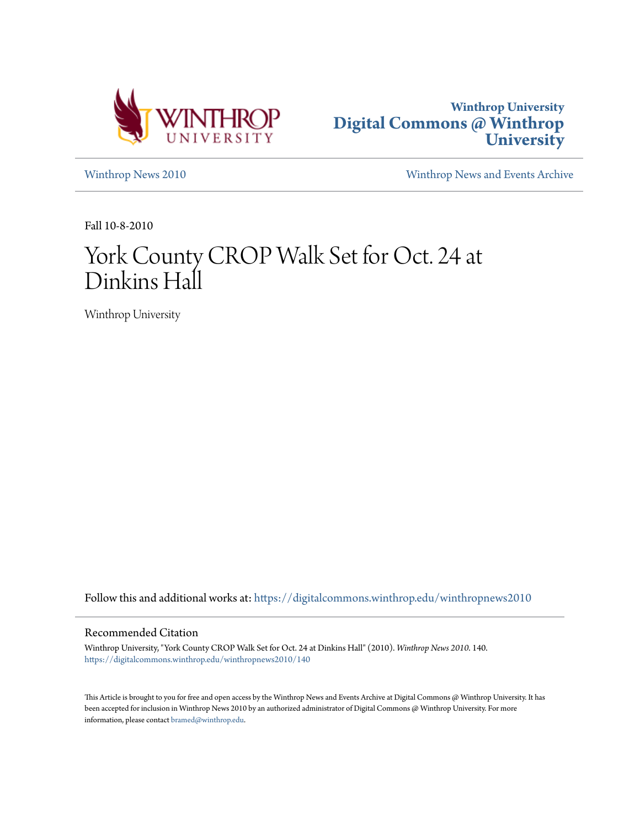



[Winthrop News 2010](https://digitalcommons.winthrop.edu/winthropnews2010?utm_source=digitalcommons.winthrop.edu%2Fwinthropnews2010%2F140&utm_medium=PDF&utm_campaign=PDFCoverPages) [Winthrop News and Events Archive](https://digitalcommons.winthrop.edu/winthropnewsarchives?utm_source=digitalcommons.winthrop.edu%2Fwinthropnews2010%2F140&utm_medium=PDF&utm_campaign=PDFCoverPages)

Fall 10-8-2010

# York County CROP Walk Set for Oct. 24 at Dinkins Hall

Winthrop University

Follow this and additional works at: [https://digitalcommons.winthrop.edu/winthropnews2010](https://digitalcommons.winthrop.edu/winthropnews2010?utm_source=digitalcommons.winthrop.edu%2Fwinthropnews2010%2F140&utm_medium=PDF&utm_campaign=PDFCoverPages)

## Recommended Citation

Winthrop University, "York County CROP Walk Set for Oct. 24 at Dinkins Hall" (2010). *Winthrop News 2010*. 140. [https://digitalcommons.winthrop.edu/winthropnews2010/140](https://digitalcommons.winthrop.edu/winthropnews2010/140?utm_source=digitalcommons.winthrop.edu%2Fwinthropnews2010%2F140&utm_medium=PDF&utm_campaign=PDFCoverPages)

This Article is brought to you for free and open access by the Winthrop News and Events Archive at Digital Commons @ Winthrop University. It has been accepted for inclusion in Winthrop News 2010 by an authorized administrator of Digital Commons @ Winthrop University. For more information, please contact [bramed@winthrop.edu](mailto:bramed@winthrop.edu).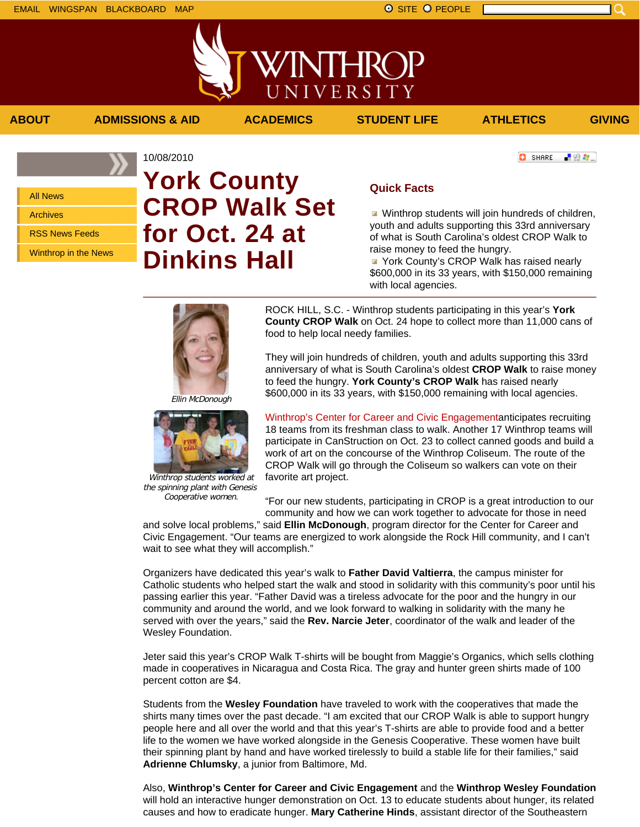All News Archives RSS News Feeds

Winthrop in the News

## 10/08/2010 **York County CROP Walk Set for Oct. 24 at Dinkins Hall**

#### **C** SHARE - 82 年。

## **Quick Facts**

**ABOUT ADMISSIONS & AID ACADEMICS STUDENT LIFE ATHLETICS GIVING**

VINTHRC

UNIVERSITY

**Winthrop students will join hundreds of children,** youth and adults supporting this 33rd anniversary of what is South Carolina's oldest CROP Walk to raise money to feed the hungry.

**P** York County's CROP Walk has raised nearly \$600,000 in its 33 years, with \$150,000 remaining with local agencies.

Ellin McDonough

the spinning plant with Genesis Cooperative women.

ROCK HILL, S.C. - Winthrop students participating in this year's **York County CROP Walk** on Oct. 24 hope to collect more than 11,000 cans of food to help local needy families.

They will join hundreds of children, youth and adults supporting this 33rd anniversary of what is South Carolina's oldest **CROP Walk** to raise money to feed the hungry. **York County's CROP Walk** has raised nearly \$600,000 in its 33 years, with \$150,000 remaining with local agencies.

Winthrop's Center for Career and Civic Engagementanticipates recruiting 18 teams from its freshman class to walk. Another 17 Winthrop teams will participate in CanStruction on Oct. 23 to collect canned goods and build a work of art on the concourse of the Winthrop Coliseum. The route of the CROP Walk will go through the Coliseum so walkers can vote on their favorite art project.

"For our new students, participating in CROP is a great introduction to our community and how we can work together to advocate for those in need

and solve local problems," said **Ellin McDonough**, program director for the Center for Career and Civic Engagement. "Our teams are energized to work alongside the Rock Hill community, and I can't wait to see what they will accomplish."

Organizers have dedicated this year's walk to **Father David Valtierra**, the campus minister for Catholic students who helped start the walk and stood in solidarity with this community's poor until his passing earlier this year. "Father David was a tireless advocate for the poor and the hungry in our community and around the world, and we look forward to walking in solidarity with the many he served with over the years," said the **Rev. Narcie Jeter**, coordinator of the walk and leader of the Wesley Foundation.

Jeter said this year's CROP Walk T-shirts will be bought from Maggie's Organics, which sells clothing made in cooperatives in Nicaragua and Costa Rica. The gray and hunter green shirts made of 100 percent cotton are \$4.

Students from the **Wesley Foundation** have traveled to work with the cooperatives that made the shirts many times over the past decade. "I am excited that our CROP Walk is able to support hungry people here and all over the world and that this year's T-shirts are able to provide food and a better life to the women we have worked alongside in the Genesis Cooperative. These women have built their spinning plant by hand and have worked tirelessly to build a stable life for their families," said **Adrienne Chlumsky**, a junior from Baltimore, Md.

Also, **Winthrop's Center for Career and Civic Engagement** and the **Winthrop Wesley Foundation** will hold an interactive hunger demonstration on Oct. 13 to educate students about hunger, its related causes and how to eradicate hunger. **Mary Catherine Hinds**, assistant director of the Southeastern

Winthrop students worked at